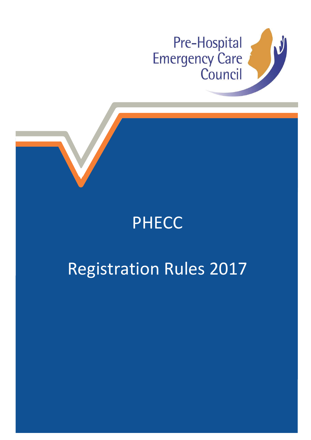

## PHECC

# Registration Rules 2017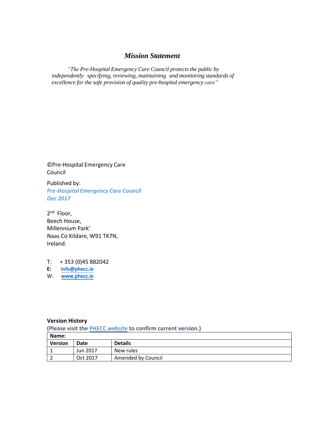### *Mission Statement*

 *"The Pre-Hospital Emergency Care Council protects the public by independently specifying, reviewing, maintaining and monitoring standards of excellence for the safe provision of quality pre-hospital emergency care"*

©Pre-Hospital Emergency Care Council

Published by: *Pre-Hospital Emergency Care Council Dec 2017* 

2<sup>nd</sup> Floor, Beech House, Millennium Park' Naas Co Kildare, W91 TK7N, Ireland.

T: + 353 (0)45 882042 **E: [info@phecc.ie](mailto:info@phecc.ie)** W**: [www.phecc.ie](http://www.phecc.ie/)**

#### **Version History**

**(Please visit the** [PHECC website](http://www.phecit.ie/PHECC/Clinical_resources/Clinical_Standards/PHECC/Clinical_Resources/Clinical_Standards/Clinical_Standards.aspx?Hkey=8a152974-f9b2-4294-b14d-09aa23d6403e) **to confirm current version.)**

| Name:          |          |                    |
|----------------|----------|--------------------|
| <b>Version</b> | Date     | <b>Details</b>     |
|                | Jun 2017 | New rules          |
| ∠              | Oct 2017 | Amended by Council |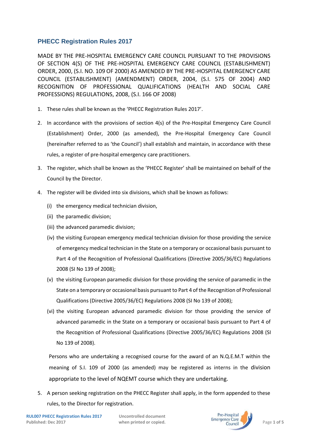#### **PHECC Registration Rules 2017**

MADE BY THE PRE-HOSPITAL EMERGENCY CARE COUNCIL PURSUANT TO THE PROVISIONS OF SECTION 4(S) OF THE PRE-HOSPITAL EMERGENCY CARE COUNCIL (ESTABLISHMENT) ORDER, 2000, (S.I. NO. 109 OF 2000) AS AMENDED BY THE PRE-HOSPITAL EMERGENCY CARE COUNCIL (ESTABLISHMENT) (AMENDMENT) ORDER, 2004, (S.I. 575 OF 2004) AND RECOGNITION OF PROFESSIONAL QUALIFICATIONS (HEALTH AND SOCIAL CARE PROFESSIONS) REGULATIONS, 2008, (S.I. 166 OF 2008)

- 1. These rules shall be known as the 'PHECC Registration Rules 2017'.
- 2. In accordance with the provisions of section 4(s) of the Pre-Hospital Emergency Care Council (Establishment) Order, 2000 (as amended), the Pre-Hospital Emergency Care Council (hereinafter referred to as 'the Council') shall establish and maintain, in accordance with these rules, a register of pre-hospital emergency care practitioners.
- 3. The register, which shall be known as the 'PHECC Register' shall be maintained on behalf of the Council by the Director.
- 4. The register will be divided into six divisions, which shall be known as follows:
	- (i) the emergency medical technician division,
	- (ii) the paramedic division;
	- (iii) the advanced paramedic division;
	- (iv) the visiting European emergency medical technician division for those providing the service of emergency medical technician in the State on a temporary or occasional basis pursuant to Part 4 of the Recognition of Professional Qualifications (Directive 2005/36/EC) Regulations 2008 (SI No 139 of 2008);
	- (v) the visiting European paramedic division for those providing the service of paramedic in the State on a temporary or occasional basis pursuant to Part 4 of the Recognition of Professional Qualifications (Directive 2005/36/EC) Regulations 2008 (SI No 139 of 2008);
	- (vi) the visiting European advanced paramedic division for those providing the service of advanced paramedic in the State on a temporary or occasional basis pursuant to Part 4 of the Recognition of Professional Qualifications (Directive 2005/36/EC) Regulations 2008 (SI No 139 of 2008).

Persons who are undertaking a recognised course for the award of an N.Q.E.M.T within the meaning of S.I. 109 of 2000 (as amended) may be registered as interns in the division appropriate to the level of NQEMT course which they are undertaking.

5. A person seeking registration on the PHECC Register shall apply, in the form appended to these rules, to the Director for registration.

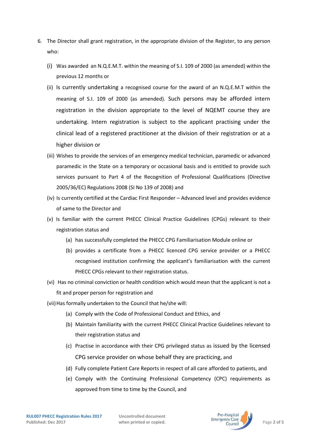- 6. The Director shall grant registration, in the appropriate division of the Register, to any person who:
	- (i) Was awarded an N.Q.E.M.T. within the meaning of S.I. 109 of 2000 (as amended) within the previous 12 months or
	- (ii) Is currently undertaking a recognised course for the award of an N.Q.E.M.T within the meaning of S.I. 109 of 2000 (as amended). Such persons may be afforded intern registration in the division appropriate to the level of NQEMT course they are undertaking. Intern registration is subject to the applicant practising under the clinical lead of a registered practitioner at the division of their registration or at a higher division or
	- (iii) Wishes to provide the services of an emergency medical technician, paramedic or advanced paramedic in the State on a temporary or occasional basis and is entitled to provide such services pursuant to Part 4 of the Recognition of Professional Qualifications (Directive 2005/36/EC) Regulations 2008 (SI No 139 of 2008) and
	- (iv) Is currently certified at the Cardiac First Responder Advanced level and provides evidence of same to the Director and
	- (v) Is familiar with the current PHECC Clinical Practice Guidelines (CPGs) relevant to their registration status and
		- (a) has successfully completed the PHECC CPG Familiarisation Module online or
		- (b) provides a certificate from a PHECC licenced CPG service provider or a PHECC recognised institution confirming the applicant's familiarisation with the current PHECC CPGs relevant to their registration status.
	- (vi) Has no criminal conviction or health condition which would mean that the applicant is not a fit and proper person for registration and
	- (vii) Has formally undertaken to the Council that he/she will:
		- (a) Comply with the Code of Professional Conduct and Ethics, and
		- (b) Maintain familiarity with the current PHECC Clinical Practice Guidelines relevant to their registration status and
		- (c) Practise in accordance with their CPG privileged status as issued by the licensed CPG service provider on whose behalf they are practicing, and
		- (d) Fully complete Patient Care Reports in respect of all care afforded to patients, and
		- (e) Comply with the Continuing Professional Competency (CPC) requirements as approved from time to time by the Council, and

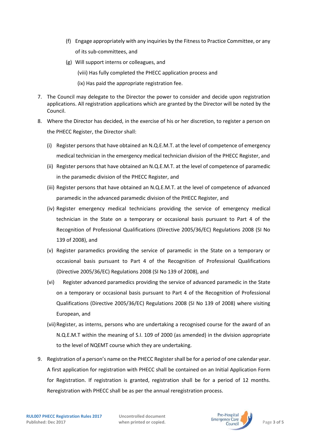- (f) Engage appropriately with any inquiries by the Fitness to Practice Committee, or any of its sub-committees, and
- (g) Will support interns or colleagues, and
	- (viii) Has fully completed the PHECC application process and
	- (ix) Has paid the appropriate registration fee.
- 7. The Council may delegate to the Director the power to consider and decide upon registration applications. All registration applications which are granted by the Director will be noted by the Council.
- 8. Where the Director has decided, in the exercise of his or her discretion, to register a person on the PHECC Register, the Director shall:
	- (i) Register persons that have obtained an N.Q.E.M.T. at the level of competence of emergency medical technician in the emergency medical technician division of the PHECC Register, and
	- (ii) Register persons that have obtained an N.Q.E.M.T. at the level of competence of paramedic in the paramedic division of the PHECC Register, and
	- (iii) Register persons that have obtained an N.Q.E.M.T. at the level of competence of advanced paramedic in the advanced paramedic division of the PHECC Register, and
	- (iv) Register emergency medical technicians providing the service of emergency medical technician in the State on a temporary or occasional basis pursuant to Part 4 of the Recognition of Professional Qualifications (Directive 2005/36/EC) Regulations 2008 (SI No 139 of 2008), and
	- (v) Register paramedics providing the service of paramedic in the State on a temporary or occasional basis pursuant to Part 4 of the Recognition of Professional Qualifications (Directive 2005/36/EC) Regulations 2008 (SI No 139 of 2008), and
	- (vi) Register advanced paramedics providing the service of advanced paramedic in the State on a temporary or occasional basis pursuant to Part 4 of the Recognition of Professional Qualifications (Directive 2005/36/EC) Regulations 2008 (SI No 139 of 2008) where visiting European, and
	- (vii) Register, as interns, persons who are undertaking a recognised course for the award of an N.Q.E.M.T within the meaning of S.I. 109 of 2000 (as amended) in the division appropriate to the level of NQEMT course which they are undertaking.
- 9. Registration of a person's name on the PHECC Register shall be for a period of one calendar year. A first application for registration with PHECC shall be contained on an Initial Application Form for Registration. If registration is granted, registration shall be for a period of 12 months. Reregistration with PHECC shall be as per the annual reregistration process.

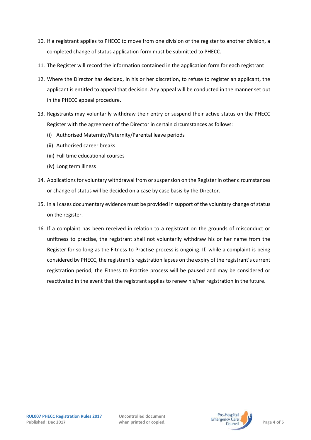- 10. If a registrant applies to PHECC to move from one division of the register to another division, a completed change of status application form must be submitted to PHECC.
- 11. The Register will record the information contained in the application form for each registrant
- 12. Where the Director has decided, in his or her discretion, to refuse to register an applicant, the applicant is entitled to appeal that decision. Any appeal will be conducted in the manner set out in the PHECC appeal procedure.
- 13. Registrants may voluntarily withdraw their entry or suspend their active status on the PHECC Register with the agreement of the Director in certain circumstances as follows:
	- (i) Authorised Maternity/Paternity/Parental leave periods
	- (ii) Authorised career breaks
	- (iii) Full time educational courses
	- (iv) Long term illness
- 14. Applications for voluntary withdrawal from or suspension on the Register in other circumstances or change of status will be decided on a case by case basis by the Director.
- 15. In all cases documentary evidence must be provided in support of the voluntary change of status on the register.
- 16. If a complaint has been received in relation to a registrant on the grounds of misconduct or unfitness to practise, the registrant shall not voluntarily withdraw his or her name from the Register for so long as the Fitness to Practise process is ongoing. If, while a complaint is being considered by PHECC, the registrant's registration lapses on the expiry of the registrant's current registration period, the Fitness to Practise process will be paused and may be considered or reactivated in the event that the registrant applies to renew his/her registration in the future.

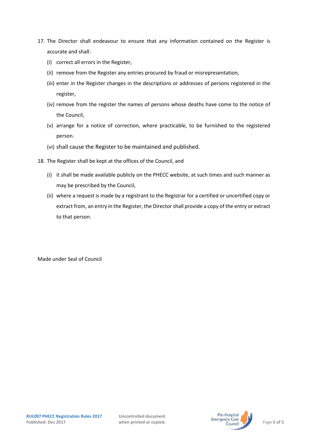- 17. The Director shall endeavour to ensure that any information contained on the Register is accurate and shall:
	- (i) correct all errors in the Register,
	- (ii) remove from the Register any entries procured by fraud or misrepresentation,
	- (iii) enter in the Register changes in the descriptions or addresses of persons registered in the register,
	- (iv) remove from the register the names of persons whose deaths have come to the notice of the Council,
	- (v) arrange for a notice of correction, where practicable, to be furnished to the registered person.
	- (vi) shall cause the Register to be maintained and published.
- 18. The Register shall be kept at the offices of the Council, and
	- (i) it shall be made available publicly on the PHECC website, at such times and such manner as may be prescribed by the Council,
	- (ii) where a request is made by a registrant to the Registrar for a certified or uncertified copy or extract from, an entry in the Register, the Director shall provide a copy of the entry or extract to that person.

Made under Seal of Council